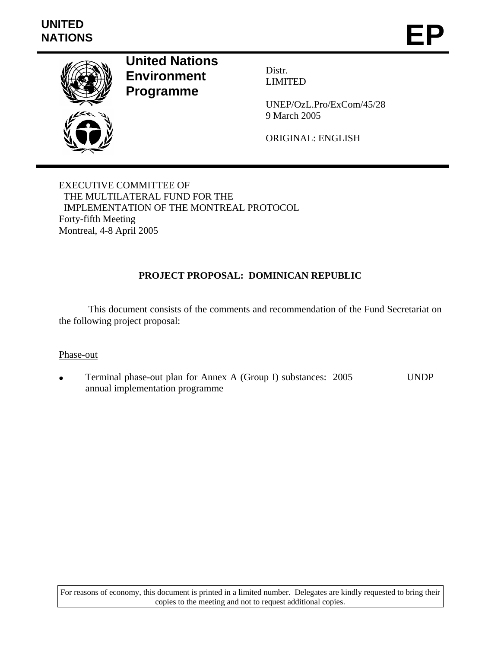

**United Nations Environment Programme** 

Distr. LIMITED

UNEP/OzL.Pro/ExCom/45/28 9 March 2005

ORIGINAL: ENGLISH

EXECUTIVE COMMITTEE OF THE MULTILATERAL FUND FOR THE IMPLEMENTATION OF THE MONTREAL PROTOCOL Forty-fifth Meeting Montreal, 4-8 April 2005

## **PROJECT PROPOSAL: DOMINICAN REPUBLIC**

 This document consists of the comments and recommendation of the Fund Secretariat on the following project proposal:

## Phase-out

• Terminal phase-out plan for Annex A (Group I) substances: 2005 annual implementation programme UNDP

For reasons of economy, this document is printed in a limited number. Delegates are kindly requested to bring their copies to the meeting and not to request additional copies.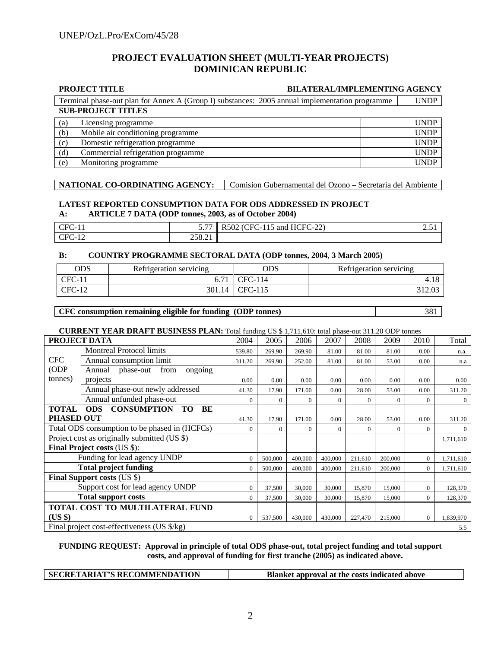## **PROJECT EVALUATION SHEET (MULTI-YEAR PROJECTS) DOMINICAN REPUBLIC**

#### **PROJECT TITLE BILATERAL/IMPLEMENTING AGENCY**

**SUB-PROJECT TITLES** Terminal phase-out plan for Annex A (Group I) substances: 2005 annual implementation programme UNDP

| (a) | Licensing programme                | UNDP        |
|-----|------------------------------------|-------------|
| (b) | Mobile air conditioning programme  | UNDP        |
| (c) | Domestic refrigeration programme   | UNDP        |
| (d) | Commercial refrigeration programme | UNDP        |
| (e) | Monitoring programme               | <b>INDP</b> |

#### **NATIONAL CO-ORDINATING AGENCY:** Comision Gubernamental del Ozono – Secretaria del Ambiente

#### **LATEST REPORTED CONSUMPTION DATA FOR ODS ADDRESSED IN PROJECT A: ARTICLE 7 DATA (ODP tonnes, 2003, as of October 2004)**

| CFC-1<br>.                     | $ -$<br>$\cdots$ | and HCFC-22 $\textdegree$<br>R502<br>:FC-115<br>" | لەر بىر |
|--------------------------------|------------------|---------------------------------------------------|---------|
| $CFC-1$<br>$\sqrt{10}$<br>- 12 | 258.21           |                                                   |         |

#### **B: COUNTRY PROGRAMME SECTORAL DATA (ODP tonnes, 2004**, **3 March 2005)**

| ODS      | Refrigeration servicing | ODS       | Refrigeration servicing |
|----------|-------------------------|-----------|-------------------------|
| $CFC-11$ |                         | $TFC-114$ | 4.18                    |
| $CFC-12$ | 301.14                  | CFC-115   | 312.03                  |

#### **CFC consumption remaining eligible for funding (ODP tonnes)** 381

#### **CURRENT YEAR DRAFT BUSINESS PLAN:** Total funding US \$ 1,711,610: total phase-out 311.20 ODP tonnes

| PROJECT DATA                                  |                                             | 2004           | 2005     | 2006         | 2007     | 2008     | 2009           | 2010           | Total          |
|-----------------------------------------------|---------------------------------------------|----------------|----------|--------------|----------|----------|----------------|----------------|----------------|
|                                               | <b>Montreal Protocol limits</b>             | 539.80         | 269.90   | 269.90       | 81.00    | 81.00    | 81.00          | 0.00           | n.a.           |
| <b>CFC</b>                                    | Annual consumption limit                    | 311.20         | 269.90   | 252.00       | 81.00    | 81.00    | 53.00          | 0.00           | n.a            |
| (ODP)                                         | phase-out<br>Annual<br>from<br>ongoing      |                |          |              |          |          |                |                |                |
| tonnes)                                       | projects                                    | 0.00           | 0.00     | 0.00         | 0.00     | 0.00     | 0.00           | 0.00           | 0.00           |
|                                               | Annual phase-out newly addressed            | 41.30          | 17.90    | 171.00       | 0.00     | 28.00    | 53.00          | 0.00           | 311.20         |
|                                               | Annual unfunded phase-out                   | $\Omega$       | $\Omega$ | $\mathbf{0}$ | $\Omega$ | $\theta$ | $\overline{0}$ | $\Omega$       | $\overline{0}$ |
| <b>TOTAL</b>                                  |                                             |                |          |              |          |          |                |                |                |
| <b>PHASED OUT</b>                             |                                             | 41.30          | 17.90    | 171.00       | 0.00     | 28.00    | 53.00          | 0.00           | 311.20         |
| Total ODS consumption to be phased in (HCFCs) |                                             | 0              | $\Omega$ | $\mathbf{0}$ | $\Omega$ | $\Omega$ | $\Omega$       | $\Omega$       | $\theta$       |
| Project cost as originally submitted (US \$)  |                                             |                |          |              |          |          |                |                | 1,711,610      |
|                                               | <b>Final Project costs (US \$):</b>         |                |          |              |          |          |                |                |                |
| Funding for lead agency UNDP                  |                                             | 0              | 500,000  | 400,000      | 400,000  | 211,610  | 200,000        | $\Omega$       | 1,711,610      |
|                                               | <b>Total project funding</b>                | 0              | 500,000  | 400,000      | 400,000  | 211,610  | 200,000        | $\Omega$       | 1,711,610      |
|                                               | <b>Final Support costs (US \$)</b>          |                |          |              |          |          |                |                |                |
|                                               | Support cost for lead agency UNDP           | $\overline{0}$ | 37,500   | 30,000       | 30,000   | 15,870   | 15,000         | $\overline{0}$ | 128,370        |
| <b>Total support costs</b>                    |                                             | $\overline{0}$ | 37,500   | 30,000       | 30,000   | 15,870   | 15,000         | $\overline{0}$ | 128,370        |
| TOTAL COST TO MULTILATERAL FUND               |                                             |                |          |              |          |          |                |                |                |
| (US \$)                                       | 0                                           | 537,500        | 430,000  | 430,000      | 227,470  | 215,000  | $\overline{0}$ | 1,839,970      |                |
|                                               | Final project cost-effectiveness (US \$/kg) |                |          |              |          |          |                |                | 5.5            |

#### **FUNDING REQUEST: Approval in principle of total ODS phase-out, total project funding and total support costs, and approval of funding for first tranche (2005) as indicated above.**

| <b>SECRETARIAT'S RECOMMENDATION</b> |  |  |
|-------------------------------------|--|--|
|-------------------------------------|--|--|

**Blanket approval at the costs indicated above**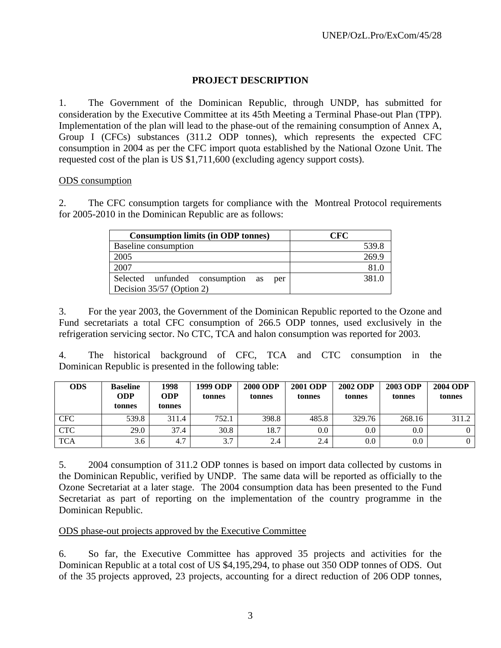## **PROJECT DESCRIPTION**

1. The Government of the Dominican Republic, through UNDP, has submitted for consideration by the Executive Committee at its 45th Meeting a Terminal Phase-out Plan (TPP). Implementation of the plan will lead to the phase-out of the remaining consumption of Annex A, Group I (CFCs) substances (311.2 ODP tonnes), which represents the expected CFC consumption in 2004 as per the CFC import quota established by the National Ozone Unit. The requested cost of the plan is US \$1,711,600 (excluding agency support costs).

### ODS consumption

2. The CFC consumption targets for compliance with the Montreal Protocol requirements for 2005-2010 in the Dominican Republic are as follows:

| <b>Consumption limits (in ODP tonnes)</b> | CFC   |
|-------------------------------------------|-------|
| Baseline consumption                      | 539.8 |
| 2005                                      | 269.9 |
| 2007                                      | 81.0  |
| Selected unfunded consumption as<br>per   | 381.0 |
| Decision 35/57 (Option 2)                 |       |

3. For the year 2003, the Government of the Dominican Republic reported to the Ozone and Fund secretariats a total CFC consumption of 266.5 ODP tonnes, used exclusively in the refrigeration servicing sector. No CTC, TCA and halon consumption was reported for 2003.

4. The historical background of CFC, TCA and CTC consumption in the Dominican Republic is presented in the following table:

| <b>ODS</b> | <b>Baseline</b><br><b>ODP</b><br>tonnes | 1998<br>ODP<br>tonnes | 1999 ODP<br>tonnes | <b>2000 ODP</b><br>tonnes | <b>2001 ODP</b><br>tonnes | <b>2002 ODP</b><br>tonnes | <b>2003 ODP</b><br>tonnes | <b>2004 ODP</b><br>tonnes |
|------------|-----------------------------------------|-----------------------|--------------------|---------------------------|---------------------------|---------------------------|---------------------------|---------------------------|
| <b>CFC</b> | 539.8                                   | 311.4                 | 752.1              | 398.8                     | 485.8                     | 329.76                    | 268.16                    | 311.2                     |
| <b>CTC</b> | 29.0                                    | 37.4                  | 30.8               | 18.7                      | $0.0\,$                   | 0.0                       | 0.0                       |                           |
| <b>TCA</b> | 3.6                                     | 4.7                   | 3.7                | 2.4                       | 2.4                       | 0.0                       | 0.0                       |                           |

5. 2004 consumption of 311.2 ODP tonnes is based on import data collected by customs in the Dominican Republic, verified by UNDP. The same data will be reported as officially to the Ozone Secretariat at a later stage. The 2004 consumption data has been presented to the Fund Secretariat as part of reporting on the implementation of the country programme in the Dominican Republic.

## ODS phase-out projects approved by the Executive Committee

6. So far, the Executive Committee has approved 35 projects and activities for the Dominican Republic at a total cost of US \$4,195,294, to phase out 350 ODP tonnes of ODS. Out of the 35 projects approved, 23 projects, accounting for a direct reduction of 206 ODP tonnes,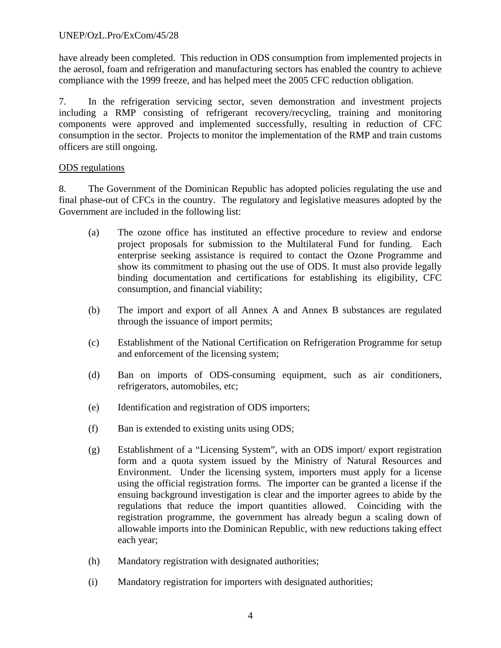## UNEP/OzL.Pro/ExCom/45/28

have already been completed. This reduction in ODS consumption from implemented projects in the aerosol, foam and refrigeration and manufacturing sectors has enabled the country to achieve compliance with the 1999 freeze, and has helped meet the 2005 CFC reduction obligation.

7. In the refrigeration servicing sector, seven demonstration and investment projects including a RMP consisting of refrigerant recovery/recycling, training and monitoring components were approved and implemented successfully, resulting in reduction of CFC consumption in the sector. Projects to monitor the implementation of the RMP and train customs officers are still ongoing.

## ODS regulations

8. The Government of the Dominican Republic has adopted policies regulating the use and final phase-out of CFCs in the country. The regulatory and legislative measures adopted by the Government are included in the following list:

- (a) The ozone office has instituted an effective procedure to review and endorse project proposals for submission to the Multilateral Fund for funding. Each enterprise seeking assistance is required to contact the Ozone Programme and show its commitment to phasing out the use of ODS. It must also provide legally binding documentation and certifications for establishing its eligibility, CFC consumption, and financial viability;
- (b) The import and export of all Annex A and Annex B substances are regulated through the issuance of import permits;
- (c) Establishment of the National Certification on Refrigeration Programme for setup and enforcement of the licensing system;
- (d) Ban on imports of ODS-consuming equipment, such as air conditioners, refrigerators, automobiles, etc;
- (e) Identification and registration of ODS importers;
- (f) Ban is extended to existing units using ODS;
- (g) Establishment of a "Licensing System", with an ODS import/ export registration form and a quota system issued by the Ministry of Natural Resources and Environment. Under the licensing system, importers must apply for a license using the official registration forms. The importer can be granted a license if the ensuing background investigation is clear and the importer agrees to abide by the regulations that reduce the import quantities allowed. Coinciding with the registration programme, the government has already begun a scaling down of allowable imports into the Dominican Republic, with new reductions taking effect each year;
- (h) Mandatory registration with designated authorities;
- (i) Mandatory registration for importers with designated authorities;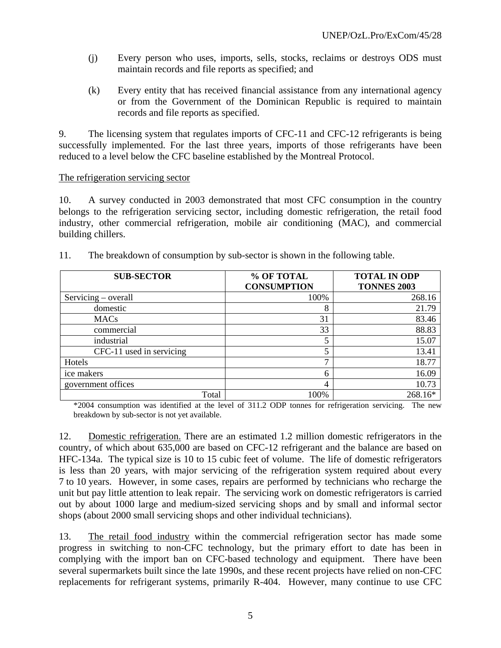- (j) Every person who uses, imports, sells, stocks, reclaims or destroys ODS must maintain records and file reports as specified; and
- (k) Every entity that has received financial assistance from any international agency or from the Government of the Dominican Republic is required to maintain records and file reports as specified.

9. The licensing system that regulates imports of CFC-11 and CFC-12 refrigerants is being successfully implemented. For the last three years, imports of those refrigerants have been reduced to a level below the CFC baseline established by the Montreal Protocol.

## The refrigeration servicing sector

10. A survey conducted in 2003 demonstrated that most CFC consumption in the country belongs to the refrigeration servicing sector, including domestic refrigeration, the retail food industry, other commercial refrigeration, mobile air conditioning (MAC), and commercial building chillers.

| <b>SUB-SECTOR</b>        | % OF TOTAL         | <b>TOTAL IN ODP</b> |  |  |
|--------------------------|--------------------|---------------------|--|--|
|                          | <b>CONSUMPTION</b> | <b>TONNES 2003</b>  |  |  |
| Servicing – overall      | 100%               | 268.16              |  |  |
| domestic                 | 8                  | 21.79               |  |  |
| <b>MACs</b>              | 31                 | 83.46               |  |  |
| commercial               | 33                 | 88.83               |  |  |
| industrial               | 5                  | 15.07               |  |  |
| CFC-11 used in servicing | 5                  | 13.41               |  |  |
| Hotels                   | 7                  | 18.77               |  |  |
| ice makers               | 6                  | 16.09               |  |  |
| government offices       | 4                  | 10.73               |  |  |
| Total                    | 100%               | 268.16*             |  |  |

11. The breakdown of consumption by sub-sector is shown in the following table.

\*2004 consumption was identified at the level of 311.2 ODP tonnes for refrigeration servicing. The new breakdown by sub-sector is not yet available.

12. Domestic refrigeration. There are an estimated 1.2 million domestic refrigerators in the country, of which about 635,000 are based on CFC-12 refrigerant and the balance are based on HFC-134a. The typical size is 10 to 15 cubic feet of volume. The life of domestic refrigerators is less than 20 years, with major servicing of the refrigeration system required about every 7 to 10 years. However, in some cases, repairs are performed by technicians who recharge the unit but pay little attention to leak repair. The servicing work on domestic refrigerators is carried out by about 1000 large and medium-sized servicing shops and by small and informal sector shops (about 2000 small servicing shops and other individual technicians).

13. The retail food industry within the commercial refrigeration sector has made some progress in switching to non-CFC technology, but the primary effort to date has been in complying with the import ban on CFC-based technology and equipment. There have been several supermarkets built since the late 1990s, and these recent projects have relied on non-CFC replacements for refrigerant systems, primarily R-404. However, many continue to use CFC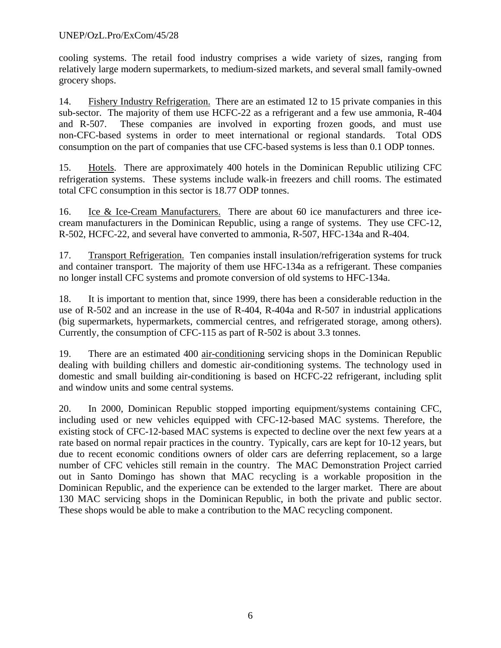## UNEP/OzL.Pro/ExCom/45/28

cooling systems. The retail food industry comprises a wide variety of sizes, ranging from relatively large modern supermarkets, to medium-sized markets, and several small family-owned grocery shops.

14. Fishery Industry Refrigeration. There are an estimated 12 to 15 private companies in this sub-sector. The majority of them use HCFC-22 as a refrigerant and a few use ammonia, R-404 and R-507. These companies are involved in exporting frozen goods, and must use non-CFC-based systems in order to meet international or regional standards. Total ODS consumption on the part of companies that use CFC-based systems is less than 0.1 ODP tonnes.

15. Hotels. There are approximately 400 hotels in the Dominican Republic utilizing CFC refrigeration systems. These systems include walk-in freezers and chill rooms. The estimated total CFC consumption in this sector is 18.77 ODP tonnes.

16. Ice & Ice-Cream Manufacturers. There are about 60 ice manufacturers and three icecream manufacturers in the Dominican Republic, using a range of systems. They use CFC-12, R-502, HCFC-22, and several have converted to ammonia, R-507, HFC-134a and R-404.

17. Transport Refrigeration. Ten companies install insulation/refrigeration systems for truck and container transport. The majority of them use HFC-134a as a refrigerant. These companies no longer install CFC systems and promote conversion of old systems to HFC-134a.

18. It is important to mention that, since 1999, there has been a considerable reduction in the use of R-502 and an increase in the use of R-404, R-404a and R-507 in industrial applications (big supermarkets, hypermarkets, commercial centres, and refrigerated storage, among others). Currently, the consumption of CFC-115 as part of R-502 is about 3.3 tonnes.

19. There are an estimated 400 air-conditioning servicing shops in the Dominican Republic dealing with building chillers and domestic air-conditioning systems. The technology used in domestic and small building air-conditioning is based on HCFC-22 refrigerant, including split and window units and some central systems.

20. In 2000, Dominican Republic stopped importing equipment/systems containing CFC, including used or new vehicles equipped with CFC-12-based MAC systems. Therefore, the existing stock of CFC-12-based MAC systems is expected to decline over the next few years at a rate based on normal repair practices in the country. Typically, cars are kept for 10-12 years, but due to recent economic conditions owners of older cars are deferring replacement, so a large number of CFC vehicles still remain in the country. The MAC Demonstration Project carried out in Santo Domingo has shown that MAC recycling is a workable proposition in the Dominican Republic, and the experience can be extended to the larger market. There are about 130 MAC servicing shops in the Dominican Republic, in both the private and public sector. These shops would be able to make a contribution to the MAC recycling component.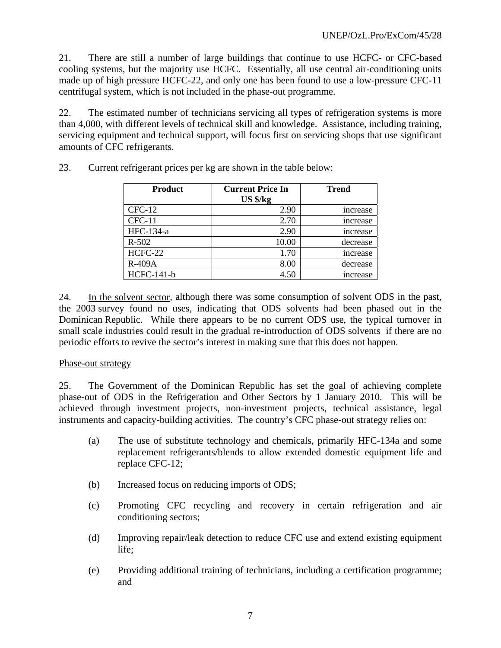21. There are still a number of large buildings that continue to use HCFC- or CFC-based cooling systems, but the majority use HCFC. Essentially, all use central air-conditioning units made up of high pressure HCFC-22, and only one has been found to use a low-pressure CFC-11 centrifugal system, which is not included in the phase-out programme.

22. The estimated number of technicians servicing all types of refrigeration systems is more than 4,000, with different levels of technical skill and knowledge. Assistance, including training, servicing equipment and technical support, will focus first on servicing shops that use significant amounts of CFC refrigerants.

| <b>Product</b>    | <b>Current Price In</b> | <b>Trend</b>   |
|-------------------|-------------------------|----------------|
|                   | $US$ $\frac{8}{kg}$     |                |
| $CFC-12$          | 2.90                    | <i>ncrease</i> |
| $CFC-11$          | 2.70                    | increase       |
| HFC-134-a         | 2.90                    | increase       |
| $R - 502$         | 10.00                   | decrease       |
| HCFC-22           | 1.70                    | increase       |
| R-409A            | 8.00                    | decrease       |
| <b>HCFC-141-b</b> | 4.50                    | <i>ncrease</i> |

23. Current refrigerant prices per kg are shown in the table below:

24. In the solvent sector, although there was some consumption of solvent ODS in the past, the 2003 survey found no uses, indicating that ODS solvents had been phased out in the Dominican Republic. While there appears to be no current ODS use, the typical turnover in small scale industries could result in the gradual re-introduction of ODS solvents if there are no periodic efforts to revive the sector's interest in making sure that this does not happen.

## Phase-out strategy

25. The Government of the Dominican Republic has set the goal of achieving complete phase-out of ODS in the Refrigeration and Other Sectors by 1 January 2010. This will be achieved through investment projects, non-investment projects, technical assistance, legal instruments and capacity-building activities. The country's CFC phase-out strategy relies on:

- (a) The use of substitute technology and chemicals, primarily HFC-134a and some replacement refrigerants/blends to allow extended domestic equipment life and replace CFC-12;
- (b) Increased focus on reducing imports of ODS;
- (c) Promoting CFC recycling and recovery in certain refrigeration and air conditioning sectors;
- (d) Improving repair/leak detection to reduce CFC use and extend existing equipment life;
- (e) Providing additional training of technicians, including a certification programme; and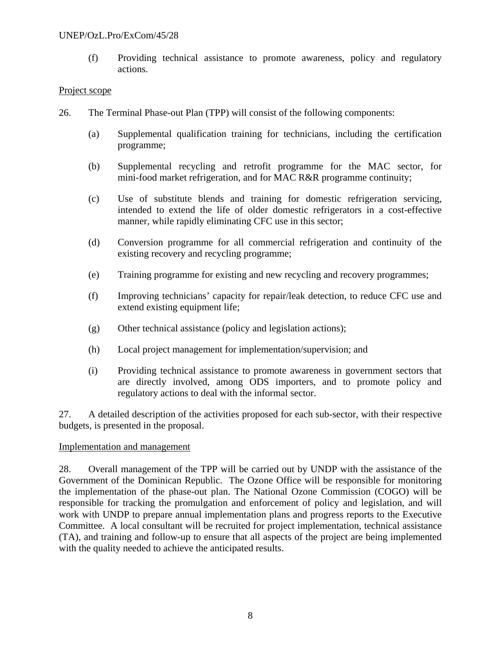### UNEP/OzL.Pro/ExCom/45/28

(f) Providing technical assistance to promote awareness, policy and regulatory actions.

### Project scope

- 26. The Terminal Phase-out Plan (TPP) will consist of the following components:
	- (a) Supplemental qualification training for technicians, including the certification programme;
	- (b) Supplemental recycling and retrofit programme for the MAC sector, for mini-food market refrigeration, and for MAC R&R programme continuity;
	- (c) Use of substitute blends and training for domestic refrigeration servicing, intended to extend the life of older domestic refrigerators in a cost-effective manner, while rapidly eliminating CFC use in this sector;
	- (d) Conversion programme for all commercial refrigeration and continuity of the existing recovery and recycling programme;
	- (e) Training programme for existing and new recycling and recovery programmes;
	- (f) Improving technicians' capacity for repair/leak detection, to reduce CFC use and extend existing equipment life;
	- (g) Other technical assistance (policy and legislation actions);
	- (h) Local project management for implementation/supervision; and
	- (i) Providing technical assistance to promote awareness in government sectors that are directly involved, among ODS importers, and to promote policy and regulatory actions to deal with the informal sector.

27. A detailed description of the activities proposed for each sub-sector, with their respective budgets, is presented in the proposal.

## Implementation and management

28. Overall management of the TPP will be carried out by UNDP with the assistance of the Government of the Dominican Republic. The Ozone Office will be responsible for monitoring the implementation of the phase-out plan. The National Ozone Commission (COGO) will be responsible for tracking the promulgation and enforcement of policy and legislation, and will work with UNDP to prepare annual implementation plans and progress reports to the Executive Committee. A local consultant will be recruited for project implementation, technical assistance (TA), and training and follow-up to ensure that all aspects of the project are being implemented with the quality needed to achieve the anticipated results.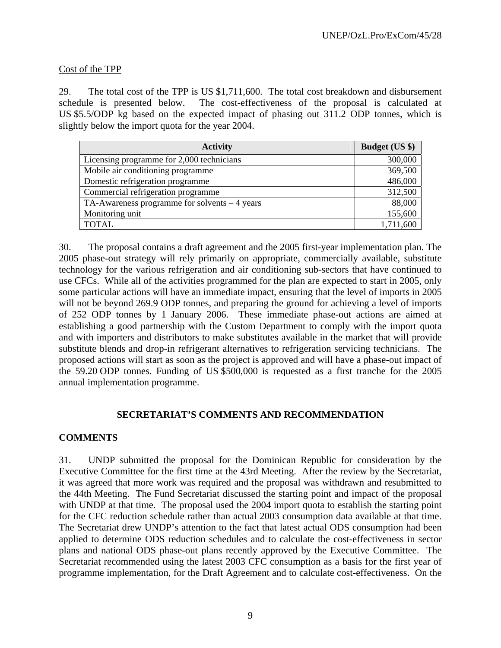## Cost of the TPP

29. The total cost of the TPP is US \$1,711,600. The total cost breakdown and disbursement schedule is presented below. The cost-effectiveness of the proposal is calculated at US \$5.5/ODP kg based on the expected impact of phasing out 311.2 ODP tonnes, which is slightly below the import quota for the year 2004.

| <b>Activity</b>                                | <b>Budget (US \$)</b> |
|------------------------------------------------|-----------------------|
| Licensing programme for 2,000 technicians      | 300,000               |
| Mobile air conditioning programme              | 369,500               |
| Domestic refrigeration programme               | 486,000               |
| Commercial refrigeration programme             | 312,500               |
| TA-Awareness programme for solvents $-4$ years | 88,000                |
| Monitoring unit                                | 155,600               |
| <b>TOTAL</b>                                   | 1,711,600             |

30. The proposal contains a draft agreement and the 2005 first-year implementation plan. The 2005 phase-out strategy will rely primarily on appropriate, commercially available, substitute technology for the various refrigeration and air conditioning sub-sectors that have continued to use CFCs. While all of the activities programmed for the plan are expected to start in 2005, only some particular actions will have an immediate impact, ensuring that the level of imports in 2005 will not be beyond 269.9 ODP tonnes, and preparing the ground for achieving a level of imports of 252 ODP tonnes by 1 January 2006. These immediate phase-out actions are aimed at establishing a good partnership with the Custom Department to comply with the import quota and with importers and distributors to make substitutes available in the market that will provide substitute blends and drop-in refrigerant alternatives to refrigeration servicing technicians. The proposed actions will start as soon as the project is approved and will have a phase-out impact of the 59.20 ODP tonnes. Funding of US \$500,000 is requested as a first tranche for the 2005 annual implementation programme.

## **SECRETARIAT'S COMMENTS AND RECOMMENDATION**

## **COMMENTS**

31. UNDP submitted the proposal for the Dominican Republic for consideration by the Executive Committee for the first time at the 43rd Meeting. After the review by the Secretariat, it was agreed that more work was required and the proposal was withdrawn and resubmitted to the 44th Meeting. The Fund Secretariat discussed the starting point and impact of the proposal with UNDP at that time. The proposal used the 2004 import quota to establish the starting point for the CFC reduction schedule rather than actual 2003 consumption data available at that time. The Secretariat drew UNDP's attention to the fact that latest actual ODS consumption had been applied to determine ODS reduction schedules and to calculate the cost-effectiveness in sector plans and national ODS phase-out plans recently approved by the Executive Committee. The Secretariat recommended using the latest 2003 CFC consumption as a basis for the first year of programme implementation, for the Draft Agreement and to calculate cost-effectiveness. On the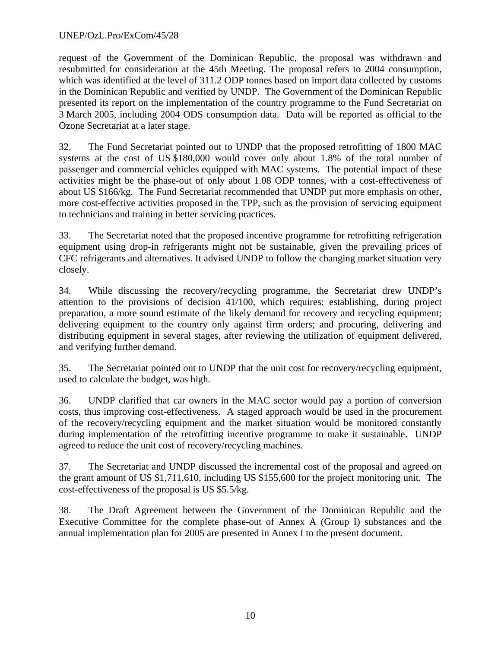## UNEP/OzL.Pro/ExCom/45/28

request of the Government of the Dominican Republic, the proposal was withdrawn and resubmitted for consideration at the 45th Meeting. The proposal refers to 2004 consumption, which was identified at the level of 311.2 ODP tonnes based on import data collected by customs in the Dominican Republic and verified by UNDP. The Government of the Dominican Republic presented its report on the implementation of the country programme to the Fund Secretariat on 3 March 2005, including 2004 ODS consumption data. Data will be reported as official to the Ozone Secretariat at a later stage.

32. The Fund Secretariat pointed out to UNDP that the proposed retrofitting of 1800 MAC systems at the cost of US \$180,000 would cover only about 1.8% of the total number of passenger and commercial vehicles equipped with MAC systems. The potential impact of these activities might be the phase-out of only about 1.08 ODP tonnes, with a cost-effectiveness of about US \$166/kg. The Fund Secretariat recommended that UNDP put more emphasis on other, more cost-effective activities proposed in the TPP, such as the provision of servicing equipment to technicians and training in better servicing practices.

33. The Secretariat noted that the proposed incentive programme for retrofitting refrigeration equipment using drop-in refrigerants might not be sustainable, given the prevailing prices of CFC refrigerants and alternatives. It advised UNDP to follow the changing market situation very closely.

34. While discussing the recovery/recycling programme, the Secretariat drew UNDP's attention to the provisions of decision 41/100, which requires: establishing, during project preparation, a more sound estimate of the likely demand for recovery and recycling equipment; delivering equipment to the country only against firm orders; and procuring, delivering and distributing equipment in several stages, after reviewing the utilization of equipment delivered, and verifying further demand.

35. The Secretariat pointed out to UNDP that the unit cost for recovery/recycling equipment, used to calculate the budget, was high.

36. UNDP clarified that car owners in the MAC sector would pay a portion of conversion costs, thus improving cost-effectiveness. A staged approach would be used in the procurement of the recovery/recycling equipment and the market situation would be monitored constantly during implementation of the retrofitting incentive programme to make it sustainable. UNDP agreed to reduce the unit cost of recovery/recycling machines.

37. The Secretariat and UNDP discussed the incremental cost of the proposal and agreed on the grant amount of US \$1,711,610, including US \$155,600 for the project monitoring unit. The cost-effectiveness of the proposal is US \$5.5/kg.

38. The Draft Agreement between the Government of the Dominican Republic and the Executive Committee for the complete phase-out of Annex A (Group I) substances and the annual implementation plan for 2005 are presented in Annex I to the present document.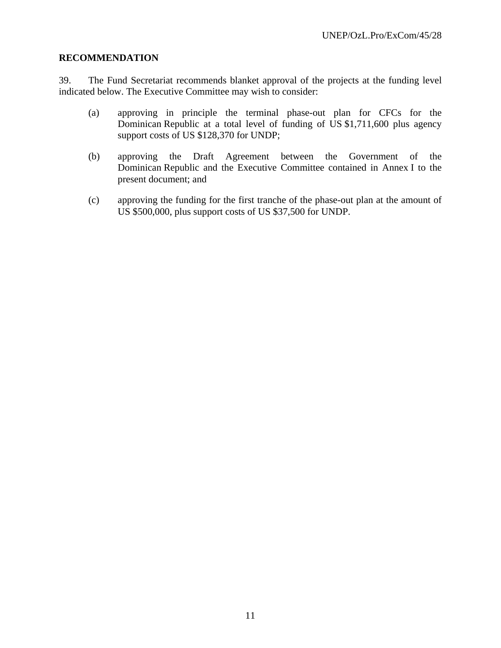## **RECOMMENDATION**

39. The Fund Secretariat recommends blanket approval of the projects at the funding level indicated below. The Executive Committee may wish to consider:

- (a) approving in principle the terminal phase-out plan for CFCs for the Dominican Republic at a total level of funding of US \$1,711,600 plus agency support costs of US \$128,370 for UNDP;
- (b) approving the Draft Agreement between the Government of the Dominican Republic and the Executive Committee contained in Annex I to the present document; and
- (c) approving the funding for the first tranche of the phase-out plan at the amount of US \$500,000, plus support costs of US \$37,500 for UNDP.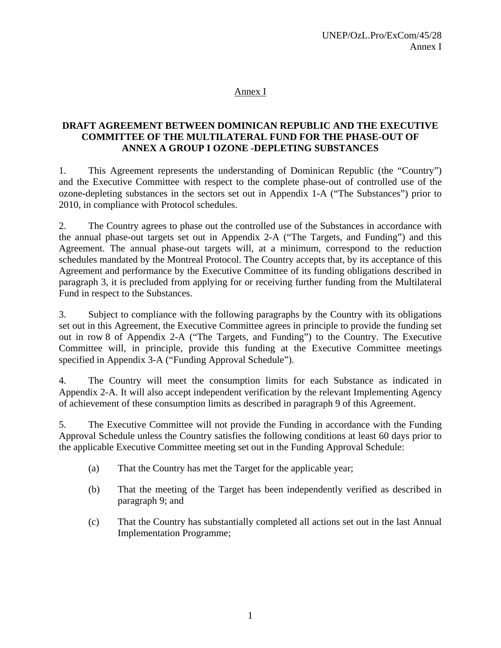## Annex I

## **DRAFT AGREEMENT BETWEEN DOMINICAN REPUBLIC AND THE EXECUTIVE COMMITTEE OF THE MULTILATERAL FUND FOR THE PHASE-OUT OF ANNEX A GROUP I OZONE -DEPLETING SUBSTANCES**

1. This Agreement represents the understanding of Dominican Republic (the "Country") and the Executive Committee with respect to the complete phase-out of controlled use of the ozone-depleting substances in the sectors set out in Appendix 1-A ("The Substances") prior to 2010, in compliance with Protocol schedules.

2. The Country agrees to phase out the controlled use of the Substances in accordance with the annual phase-out targets set out in Appendix 2-A ("The Targets, and Funding") and this Agreement. The annual phase-out targets will, at a minimum, correspond to the reduction schedules mandated by the Montreal Protocol. The Country accepts that, by its acceptance of this Agreement and performance by the Executive Committee of its funding obligations described in paragraph 3, it is precluded from applying for or receiving further funding from the Multilateral Fund in respect to the Substances.

3. Subject to compliance with the following paragraphs by the Country with its obligations set out in this Agreement, the Executive Committee agrees in principle to provide the funding set out in row 8 of Appendix 2-A ("The Targets, and Funding") to the Country. The Executive Committee will, in principle, provide this funding at the Executive Committee meetings specified in Appendix 3-A ("Funding Approval Schedule").

4. The Country will meet the consumption limits for each Substance as indicated in Appendix 2-A. It will also accept independent verification by the relevant Implementing Agency of achievement of these consumption limits as described in paragraph 9 of this Agreement.

5. The Executive Committee will not provide the Funding in accordance with the Funding Approval Schedule unless the Country satisfies the following conditions at least 60 days prior to the applicable Executive Committee meeting set out in the Funding Approval Schedule:

- (a) That the Country has met the Target for the applicable year;
- (b) That the meeting of the Target has been independently verified as described in paragraph 9; and
- (c) That the Country has substantially completed all actions set out in the last Annual Implementation Programme;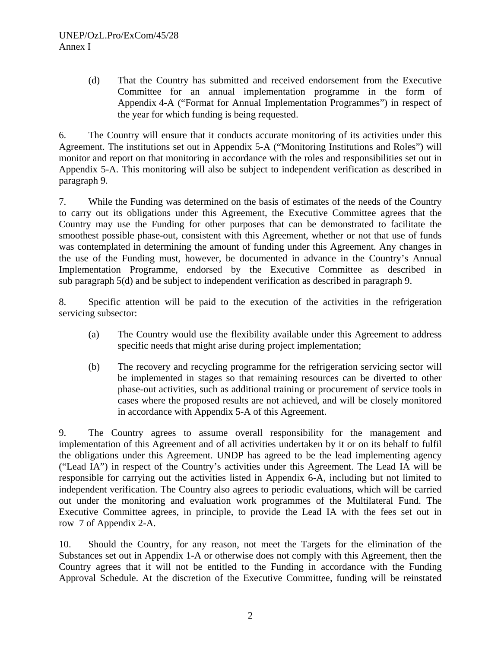(d) That the Country has submitted and received endorsement from the Executive Committee for an annual implementation programme in the form of Appendix 4-A ("Format for Annual Implementation Programmes") in respect of the year for which funding is being requested.

6. The Country will ensure that it conducts accurate monitoring of its activities under this Agreement. The institutions set out in Appendix 5-A ("Monitoring Institutions and Roles") will monitor and report on that monitoring in accordance with the roles and responsibilities set out in Appendix 5-A. This monitoring will also be subject to independent verification as described in paragraph 9.

7. While the Funding was determined on the basis of estimates of the needs of the Country to carry out its obligations under this Agreement, the Executive Committee agrees that the Country may use the Funding for other purposes that can be demonstrated to facilitate the smoothest possible phase-out, consistent with this Agreement, whether or not that use of funds was contemplated in determining the amount of funding under this Agreement. Any changes in the use of the Funding must, however, be documented in advance in the Country's Annual Implementation Programme, endorsed by the Executive Committee as described in sub paragraph 5(d) and be subject to independent verification as described in paragraph 9.

8. Specific attention will be paid to the execution of the activities in the refrigeration servicing subsector:

- (a) The Country would use the flexibility available under this Agreement to address specific needs that might arise during project implementation;
- (b) The recovery and recycling programme for the refrigeration servicing sector will be implemented in stages so that remaining resources can be diverted to other phase-out activities, such as additional training or procurement of service tools in cases where the proposed results are not achieved, and will be closely monitored in accordance with Appendix 5-A of this Agreement.

9. The Country agrees to assume overall responsibility for the management and implementation of this Agreement and of all activities undertaken by it or on its behalf to fulfil the obligations under this Agreement. UNDP has agreed to be the lead implementing agency ("Lead IA") in respect of the Country's activities under this Agreement. The Lead IA will be responsible for carrying out the activities listed in Appendix 6-A, including but not limited to independent verification. The Country also agrees to periodic evaluations, which will be carried out under the monitoring and evaluation work programmes of the Multilateral Fund. The Executive Committee agrees, in principle, to provide the Lead IA with the fees set out in row 7 of Appendix 2-A.

10. Should the Country, for any reason, not meet the Targets for the elimination of the Substances set out in Appendix 1-A or otherwise does not comply with this Agreement, then the Country agrees that it will not be entitled to the Funding in accordance with the Funding Approval Schedule. At the discretion of the Executive Committee, funding will be reinstated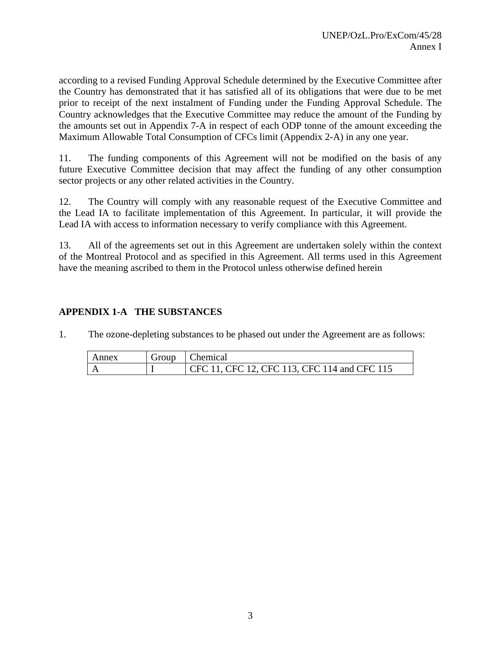according to a revised Funding Approval Schedule determined by the Executive Committee after the Country has demonstrated that it has satisfied all of its obligations that were due to be met prior to receipt of the next instalment of Funding under the Funding Approval Schedule. The Country acknowledges that the Executive Committee may reduce the amount of the Funding by the amounts set out in Appendix 7-A in respect of each ODP tonne of the amount exceeding the Maximum Allowable Total Consumption of CFCs limit (Appendix 2-A) in any one year.

11. The funding components of this Agreement will not be modified on the basis of any future Executive Committee decision that may affect the funding of any other consumption sector projects or any other related activities in the Country.

12. The Country will comply with any reasonable request of the Executive Committee and the Lead IA to facilitate implementation of this Agreement. In particular, it will provide the Lead IA with access to information necessary to verify compliance with this Agreement.

13. All of the agreements set out in this Agreement are undertaken solely within the context of the Montreal Protocol and as specified in this Agreement. All terms used in this Agreement have the meaning ascribed to them in the Protocol unless otherwise defined herein

## **APPENDIX 1-A THE SUBSTANCES**

1. The ozone-depleting substances to be phased out under the Agreement are as follows:

| Annex | Group | Chemical                                     |
|-------|-------|----------------------------------------------|
|       |       | CFC 11, CFC 12, CFC 113, CFC 114 and CFC 115 |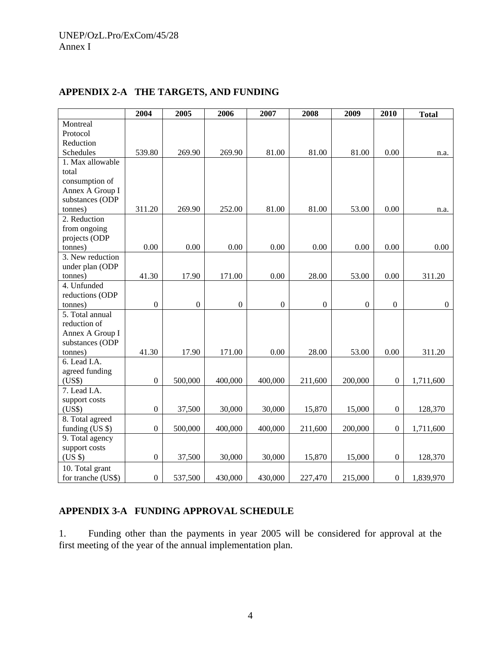|                    | 2004             | 2005             | 2006             | 2007             | 2008             | 2009         | 2010             | <b>Total</b>   |
|--------------------|------------------|------------------|------------------|------------------|------------------|--------------|------------------|----------------|
| Montreal           |                  |                  |                  |                  |                  |              |                  |                |
| Protocol           |                  |                  |                  |                  |                  |              |                  |                |
| Reduction          |                  |                  |                  |                  |                  |              |                  |                |
| Schedules          | 539.80           | 269.90           | 269.90           | 81.00            | 81.00            | 81.00        | 0.00             | n.a.           |
| 1. Max allowable   |                  |                  |                  |                  |                  |              |                  |                |
| total              |                  |                  |                  |                  |                  |              |                  |                |
| consumption of     |                  |                  |                  |                  |                  |              |                  |                |
| Annex A Group I    |                  |                  |                  |                  |                  |              |                  |                |
| substances (ODP    |                  |                  |                  |                  |                  |              |                  |                |
| tonnes)            | 311.20           | 269.90           | 252.00           | 81.00            | 81.00            | 53.00        | 0.00             | n.a.           |
| 2. Reduction       |                  |                  |                  |                  |                  |              |                  |                |
| from ongoing       |                  |                  |                  |                  |                  |              |                  |                |
| projects (ODP      |                  |                  |                  |                  |                  |              |                  |                |
| tonnes)            | 0.00             | 0.00             | 0.00             | 0.00             | 0.00             | 0.00         | 0.00             | 0.00           |
| 3. New reduction   |                  |                  |                  |                  |                  |              |                  |                |
| under plan (ODP    |                  |                  |                  |                  |                  |              |                  |                |
| tonnes)            | 41.30            | 17.90            | 171.00           | 0.00             | 28.00            | 53.00        | 0.00             | 311.20         |
| 4. Unfunded        |                  |                  |                  |                  |                  |              |                  |                |
| reductions (ODP    |                  |                  |                  |                  |                  |              |                  |                |
| tonnes)            | $\boldsymbol{0}$ | $\boldsymbol{0}$ | $\boldsymbol{0}$ | $\boldsymbol{0}$ | $\boldsymbol{0}$ | $\mathbf{0}$ | $\boldsymbol{0}$ | $\overline{0}$ |
| 5. Total annual    |                  |                  |                  |                  |                  |              |                  |                |
| reduction of       |                  |                  |                  |                  |                  |              |                  |                |
| Annex A Group I    |                  |                  |                  |                  |                  |              |                  |                |
| substances (ODP    |                  |                  |                  |                  |                  |              |                  |                |
| tonnes)            | 41.30            | 17.90            | 171.00           | 0.00             | 28.00            | 53.00        | 0.00             | 311.20         |
| 6. Lead I.A.       |                  |                  |                  |                  |                  |              |                  |                |
| agreed funding     |                  |                  |                  |                  |                  |              |                  |                |
| (US\$)             | $\boldsymbol{0}$ | 500,000          | 400,000          | 400,000          | 211,600          | 200,000      | $\boldsymbol{0}$ | 1,711,600      |
| 7. Lead I.A.       |                  |                  |                  |                  |                  |              |                  |                |
| support costs      |                  |                  |                  |                  |                  |              |                  |                |
| (US\$)             | $\boldsymbol{0}$ | 37,500           | 30,000           | 30,000           | 15,870           | 15,000       | $\boldsymbol{0}$ | 128,370        |
| 8. Total agreed    |                  |                  |                  |                  |                  |              |                  |                |
| funding (US \$)    | $\boldsymbol{0}$ | 500,000          | 400,000          | 400,000          | 211,600          | 200,000      | $\boldsymbol{0}$ | 1,711,600      |
| 9. Total agency    |                  |                  |                  |                  |                  |              |                  |                |
| support costs      |                  |                  |                  |                  |                  |              |                  |                |
| (US \$)            | $\mathbf{0}$     | 37,500           | 30,000           | 30,000           | 15,870           | 15,000       | $\overline{0}$   | 128,370        |
| 10. Total grant    |                  |                  |                  |                  |                  |              |                  |                |
| for tranche (US\$) | $\boldsymbol{0}$ | 537,500          | 430,000          | 430,000          | 227,470          | 215,000      | $\overline{0}$   | 1,839,970      |

# **APPENDIX 2-A THE TARGETS, AND FUNDING**

## **APPENDIX 3-A FUNDING APPROVAL SCHEDULE**

1. Funding other than the payments in year 2005 will be considered for approval at the first meeting of the year of the annual implementation plan.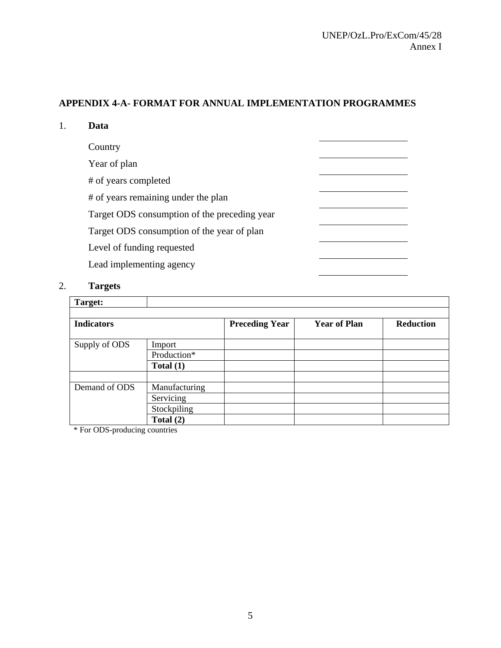## **APPENDIX 4-A- FORMAT FOR ANNUAL IMPLEMENTATION PROGRAMMES**

| Data                                         |  |
|----------------------------------------------|--|
| Country                                      |  |
| Year of plan                                 |  |
| # of years completed                         |  |
| # of years remaining under the plan          |  |
| Target ODS consumption of the preceding year |  |
| Target ODS consumption of the year of plan   |  |
| Level of funding requested                   |  |
| Lead implementing agency                     |  |

## 2. **Targets**

| Target:           |               |                       |                     |                  |
|-------------------|---------------|-----------------------|---------------------|------------------|
| <b>Indicators</b> |               | <b>Preceding Year</b> | <b>Year of Plan</b> | <b>Reduction</b> |
| Supply of ODS     | Import        |                       |                     |                  |
|                   | Production*   |                       |                     |                  |
|                   | Total $(1)$   |                       |                     |                  |
|                   |               |                       |                     |                  |
| Demand of ODS     | Manufacturing |                       |                     |                  |
|                   | Servicing     |                       |                     |                  |
|                   | Stockpiling   |                       |                     |                  |
|                   | Total $(2)$   |                       |                     |                  |

\* For ODS-producing countries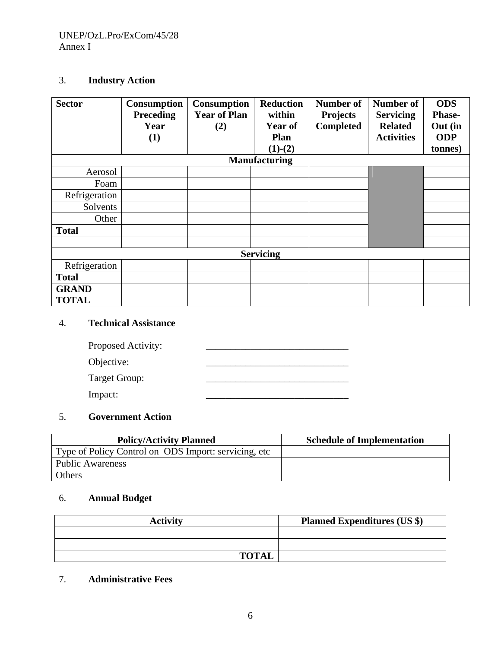## 3. **Industry Action**

| <b>Sector</b> | Consumption<br><b>Preceding</b><br>Year<br>(1) | <b>Consumption</b><br><b>Year of Plan</b><br>(2) | <b>Reduction</b><br>within<br>Year of<br><b>Plan</b><br>$(1)-(2)$ | <b>Number of</b><br><b>Projects</b><br><b>Completed</b> | Number of<br><b>Servicing</b><br><b>Related</b><br><b>Activities</b> | <b>ODS</b><br><b>Phase-</b><br>Out (in<br><b>ODP</b><br>tonnes) |
|---------------|------------------------------------------------|--------------------------------------------------|-------------------------------------------------------------------|---------------------------------------------------------|----------------------------------------------------------------------|-----------------------------------------------------------------|
|               |                                                |                                                  | <b>Manufacturing</b>                                              |                                                         |                                                                      |                                                                 |
| Aerosol       |                                                |                                                  |                                                                   |                                                         |                                                                      |                                                                 |
| Foam          |                                                |                                                  |                                                                   |                                                         |                                                                      |                                                                 |
| Refrigeration |                                                |                                                  |                                                                   |                                                         |                                                                      |                                                                 |
| Solvents      |                                                |                                                  |                                                                   |                                                         |                                                                      |                                                                 |
| Other         |                                                |                                                  |                                                                   |                                                         |                                                                      |                                                                 |
| <b>Total</b>  |                                                |                                                  |                                                                   |                                                         |                                                                      |                                                                 |
|               |                                                |                                                  |                                                                   |                                                         |                                                                      |                                                                 |
|               |                                                |                                                  | <b>Servicing</b>                                                  |                                                         |                                                                      |                                                                 |
| Refrigeration |                                                |                                                  |                                                                   |                                                         |                                                                      |                                                                 |
| <b>Total</b>  |                                                |                                                  |                                                                   |                                                         |                                                                      |                                                                 |
| <b>GRAND</b>  |                                                |                                                  |                                                                   |                                                         |                                                                      |                                                                 |
| <b>TOTAL</b>  |                                                |                                                  |                                                                   |                                                         |                                                                      |                                                                 |

## 4. **Technical Assistance**

| Proposed Activity: |  |
|--------------------|--|
| Objective:         |  |
| Target Group:      |  |
| Impact:            |  |

## 5. **Government Action**

| <b>Policy/Activity Planned</b>                        | <b>Schedule of Implementation</b> |
|-------------------------------------------------------|-----------------------------------|
| Type of Policy Control on ODS Import: servicing, etc. |                                   |
| <b>Public Awareness</b>                               |                                   |
| Others                                                |                                   |

## 6. **Annual Budget**

| <b>Activity</b> | <b>Planned Expenditures (US \$)</b> |
|-----------------|-------------------------------------|
|                 |                                     |
|                 |                                     |
| <b>TOTAL</b>    |                                     |

## 7. **Administrative Fees**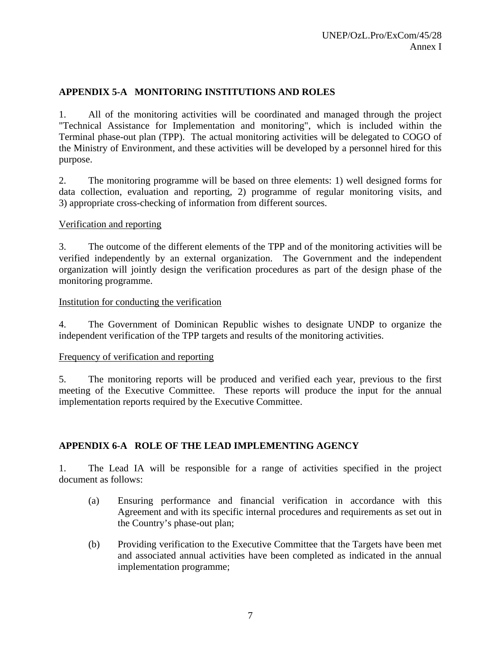## **APPENDIX 5-A MONITORING INSTITUTIONS AND ROLES**

1. All of the monitoring activities will be coordinated and managed through the project "Technical Assistance for Implementation and monitoring", which is included within the Terminal phase-out plan (TPP). The actual monitoring activities will be delegated to COGO of the Ministry of Environment, and these activities will be developed by a personnel hired for this purpose.

2. The monitoring programme will be based on three elements: 1) well designed forms for data collection, evaluation and reporting, 2) programme of regular monitoring visits, and 3) appropriate cross-checking of information from different sources.

## Verification and reporting

3. The outcome of the different elements of the TPP and of the monitoring activities will be verified independently by an external organization. The Government and the independent organization will jointly design the verification procedures as part of the design phase of the monitoring programme.

## Institution for conducting the verification

4. The Government of Dominican Republic wishes to designate UNDP to organize the independent verification of the TPP targets and results of the monitoring activities.

## Frequency of verification and reporting

5. The monitoring reports will be produced and verified each year, previous to the first meeting of the Executive Committee. These reports will produce the input for the annual implementation reports required by the Executive Committee.

## **APPENDIX 6-A ROLE OF THE LEAD IMPLEMENTING AGENCY**

1. The Lead IA will be responsible for a range of activities specified in the project document as follows:

- (a) Ensuring performance and financial verification in accordance with this Agreement and with its specific internal procedures and requirements as set out in the Country's phase-out plan;
- (b) Providing verification to the Executive Committee that the Targets have been met and associated annual activities have been completed as indicated in the annual implementation programme;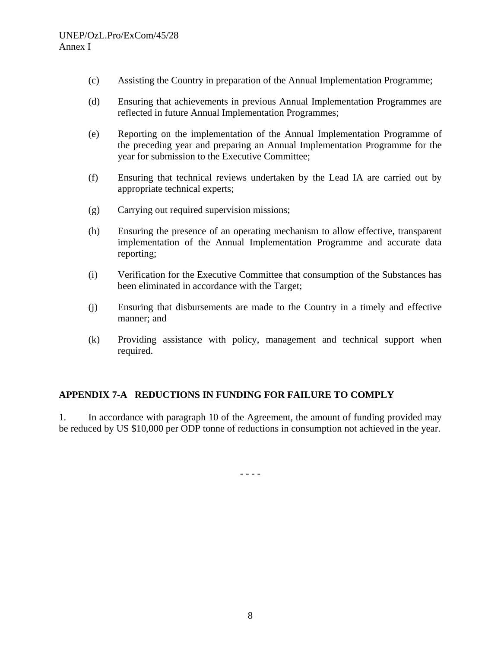- (c) Assisting the Country in preparation of the Annual Implementation Programme;
- (d) Ensuring that achievements in previous Annual Implementation Programmes are reflected in future Annual Implementation Programmes;
- (e) Reporting on the implementation of the Annual Implementation Programme of the preceding year and preparing an Annual Implementation Programme for the year for submission to the Executive Committee;
- (f) Ensuring that technical reviews undertaken by the Lead IA are carried out by appropriate technical experts;
- (g) Carrying out required supervision missions;
- (h) Ensuring the presence of an operating mechanism to allow effective, transparent implementation of the Annual Implementation Programme and accurate data reporting;
- (i) Verification for the Executive Committee that consumption of the Substances has been eliminated in accordance with the Target;
- (j) Ensuring that disbursements are made to the Country in a timely and effective manner; and
- (k) Providing assistance with policy, management and technical support when required.

## **APPENDIX 7-A REDUCTIONS IN FUNDING FOR FAILURE TO COMPLY**

1. In accordance with paragraph 10 of the Agreement, the amount of funding provided may be reduced by US \$10,000 per ODP tonne of reductions in consumption not achieved in the year.

- - - -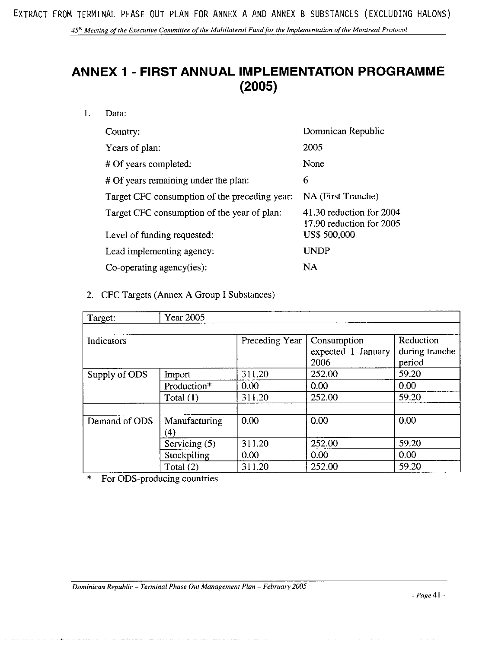45<sup>th</sup> Meeting of the Executive Committee of the Multilateral Fund for the Implementation of the Montreal Protocol

# **ANNEX 1 - FIRST ANNUAL IMPLEMENTATION PROGRAMME**  $(2005)$

 $1.$ Data:

| Country:                                      | Dominican Republic                                   |
|-----------------------------------------------|------------------------------------------------------|
| Years of plan:                                | 2005                                                 |
| # Of years completed:                         | None                                                 |
| # Of years remaining under the plan:          | 6                                                    |
| Target CFC consumption of the preceding year: | NA (First Tranche)                                   |
| Target CFC consumption of the year of plan:   | 41.30 reduction for 2004<br>17.90 reduction for 2005 |
| Level of funding requested:                   | <b>US\$ 500,000</b>                                  |
| Lead implementing agency:                     | <b>UNDP</b>                                          |
| Co-operating agency(ies):                     | NA                                                   |

2. CFC Targets (Annex A Group I Substances)

| <b>Year 2005</b><br>Target: |               |                |                    |                |
|-----------------------------|---------------|----------------|--------------------|----------------|
|                             |               |                |                    |                |
| Indicators                  |               | Preceding Year | Consumption        | Reduction      |
|                             |               |                | expected 1 January | during tranche |
|                             |               |                | 2006               | period         |
| Supply of ODS               | Import        | 311.20         | 252.00             | 59.20          |
|                             | Production*   | 0.00           | 0.00               | 0.00           |
|                             | Total $(1)$   | 311.20         | 252.00             | 59.20          |
|                             |               |                |                    |                |
| Demand of ODS               | Manufacturing | 0.00           | 0.00               | 0.00           |
|                             | 4)            |                |                    |                |
|                             | Servicing (5) | 311.20         | 252.00             | 59.20          |
|                             | Stockpiling   | 0.00           | 0.00               | 0.00           |
|                             | Total $(2)$   | 311.20         | 252.00             | 59.20          |

For ODS-producing countries  $\ast$ 

 $\emph{-} \emph{Page 41}$  -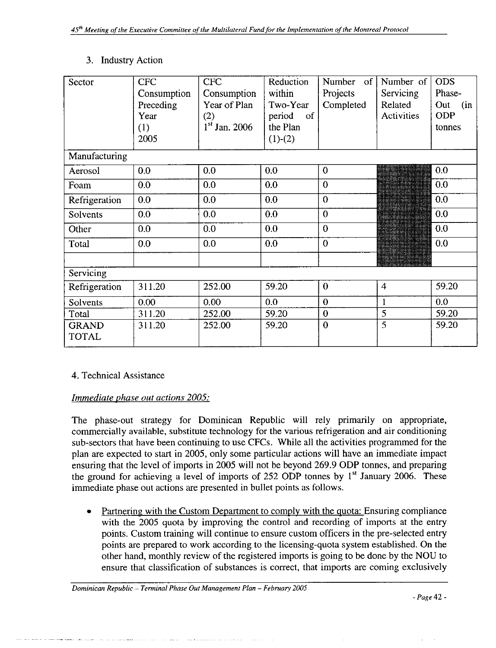## 3. Industry Action

| Sector                       | <b>CFC</b><br>Consumption<br>Preceding<br>Year<br>(1) | <b>CFC</b><br>Consumption<br>Year of Plan<br>(2)<br>$1st$ Jan. 2006 | Reduction<br>within<br>Two-Year<br>period<br>of<br>the Plan | Number<br>of<br>Projects<br>Completed | Number of<br>Servicing<br>Related<br>Activities | <b>ODS</b><br>Phase-<br>Out<br>(in<br><b>ODP</b><br>tonnes |
|------------------------------|-------------------------------------------------------|---------------------------------------------------------------------|-------------------------------------------------------------|---------------------------------------|-------------------------------------------------|------------------------------------------------------------|
|                              | 2005                                                  |                                                                     | $(1)-(2)$                                                   |                                       |                                                 |                                                            |
| Manufacturing                |                                                       |                                                                     |                                                             |                                       |                                                 |                                                            |
| Aerosol                      | 0.0                                                   | 0.0                                                                 | 0.0                                                         | $\Omega$                              |                                                 | 0.0                                                        |
| Foam                         | 0.0                                                   | 0.0                                                                 | 0.0                                                         | $\overline{0}$                        |                                                 | 0.0                                                        |
| Refrigeration                | 0.0                                                   | 0.0                                                                 | 0.0                                                         | $\overline{0}$                        |                                                 | 0.0                                                        |
| Solvents                     | 0.0                                                   | 0.0                                                                 | 0.0                                                         | $\overline{0}$                        |                                                 | 0.0                                                        |
| Other                        | 0.0                                                   | 0.0                                                                 | 0.0                                                         | $\overline{0}$                        |                                                 | 0.0                                                        |
| Total                        | 0.0                                                   | 0.0                                                                 | 0.0                                                         | $\overline{0}$                        |                                                 | 0.0                                                        |
|                              |                                                       |                                                                     |                                                             |                                       |                                                 |                                                            |
| Servicing                    |                                                       |                                                                     |                                                             |                                       |                                                 |                                                            |
| Refrigeration                | 311.20                                                | 252.00                                                              | 59.20                                                       | $\mathbf{0}$                          | $\overline{4}$                                  | 59.20                                                      |
| Solvents                     | 0.00                                                  | 0.00                                                                | 0.0                                                         | $\overline{0}$                        | $\mathbf{1}$                                    | 0.0 <sub>1</sub>                                           |
| Total                        | 311.20                                                | 252.00                                                              | 59.20                                                       | $\boldsymbol{0}$                      | 5                                               | 59.20                                                      |
| <b>GRAND</b><br><b>TOTAL</b> | 311.20                                                | 252.00                                                              | 59.20                                                       | $\overline{0}$                        | $\overline{5}$                                  | 59.20                                                      |

## 4. Technical Assistance

## Immediate phase out actions 2005:

The phase-out strategy for Dominican Republic will rely primarily on appropriate, commercially available, substitute technology for the various refrigeration and air conditioning sub-sectors that have been continuing to use CFCs. While all the activities programmed for the plan are expected to start in 2005, only some particular actions will have an immediate impact ensuring that the level of imports in 2005 will not be beyond 269.9 ODP tonnes, and preparing the ground for achieving a level of imports of 252 ODP tonnes by  $1<sup>st</sup>$  January 2006. These immediate phase out actions are presented in bullet points as follows.

Partnering with the Custom Department to comply with the quota: Ensuring compliance with the 2005 quota by improving the control and recording of imports at the entry points. Custom training will continue to ensure custom officers in the pre-selected entry points are prepared to work according to the licensing-quota system established. On the other hand, monthly review of the registered imports is going to be done by the NOU to ensure that classification of substances is correct, that imports are coming exclusively

Dominican Republic - Terminal Phase Out Management Plan - February 2005

 $Page 42 -$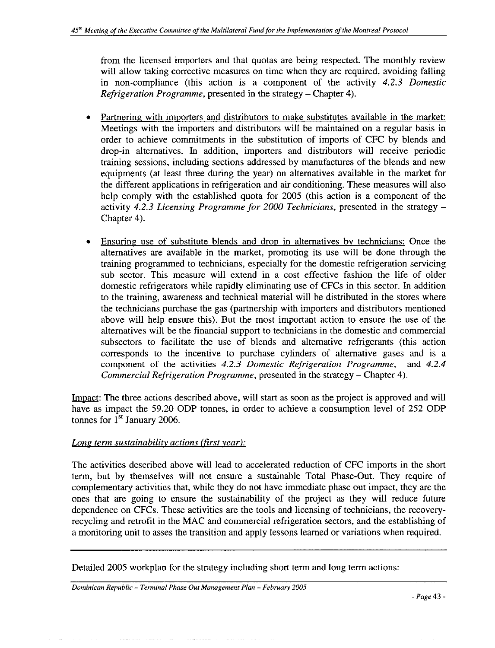from the licensed importers and that quotas are being respected. The monthly review will allow taking corrective measures on time when they are required, avoiding falling in non-compliance (this action is a component of the activity  $4.2.3$  Domestic Refrigeration Programme, presented in the strategy – Chapter 4).

- Partnering with importers and distributors to make substitutes available in the market: Meetings with the importers and distributors will be maintained on a regular basis in order to achieve commitments in the substitution of imports of CFC by blends and drop-in alternatives. In addition, importers and distributors will receive periodic training sessions, including sections addressed by manufactures of the blends and new equipments (at least three during the year) on alternatives available in the market for the different applications in refrigeration and air conditioning. These measures will also help comply with the established quota for 2005 (this action is a component of the activity 4.2.3 Licensing Programme for 2000 Technicians, presented in the strategy -Chapter 4).
- Ensuring use of substitute blends and drop in alternatives by technicians: Once the alternatives are available in the market, promoting its use will be done through the training programmed to technicians, especially for the domestic refrigeration servicing sub sector. This measure will extend in a cost effective fashion the life of older domestic refrigerators while rapidly eliminating use of CFCs in this sector. In addition to the training, awareness and technical material will be distributed in the stores where the technicians purchase the gas (partnership with importers and distributors mentioned above will help ensure this). But the most important action to ensure the use of the alternatives will be the financial support to technicians in the domestic and commercial subsectors to facilitate the use of blends and alternative refrigerants (this action corresponds to the incentive to purchase cylinders of alternative gases and is a component of the activities 4.2.3 Domestic Refrigeration Programme, and  $4.2.4$ Commercial Refrigeration Programme, presented in the strategy - Chapter 4).

Impact: The three actions described above, will start as soon as the project is approved and will have as impact the 59.20 ODP tonnes, in order to achieve a consumption level of 252 ODP tonnes for  $1<sup>st</sup>$  January 2006.

## Long term sustainability actions (first year):

and had to responsive constructions and

The activities described above will lead to accelerated reduction of CFC imports in the short term, but by themselves will not ensure a sustainable Total Phase-Out. They require of complementary activities that, while they do not have immediate phase out impact, they are the ones that are going to ensure the sustainability of the project as they will reduce future dependence on CFCs. These activities are the tools and licensing of technicians, the recoveryrecycling and retrofit in the MAC and commercial refrigeration sectors, and the establishing of a monitoring unit to asses the transition and apply lessons learned or variations when required.

Detailed 2005 workplan for the strategy including short term and long term actions:

Dominican Republic - Terminal Phase Out Management Plan - February 2005

a complete de la marca de la completa de la completa de la completa de la completa de la completa de la completa de la completa de la completa de la completa de la completa de la completa de la completa de la completa de l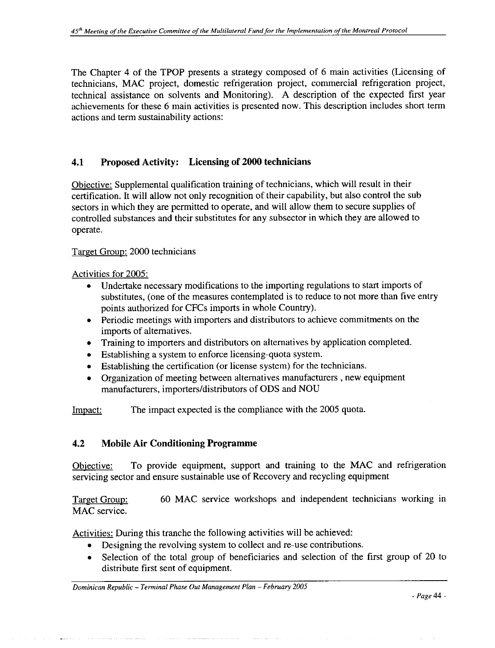The Chapter 4 of the TPOP presents a strategy composed of 6 main activities (Licensing of technicians, MAC project, domestic refrigeration project, commercial refrigeration project, technical assistance on solvents and Monitoring). A description of the expected first year achievements for these 6 main activities is presented now. This description includes short term actions and term sustainability actions:

#### 4.1 **Proposed Activity:** Licensing of 2000 technicians

Objective: Supplemental qualification training of technicians, which will result in their certification. It will allow not only recognition of their capability, but also control the sub sectors in which they are permitted to operate, and will allow them to secure supplies of controlled substances and their substitutes for any subsector in which they are allowed to operate.

## Target Group: 2000 technicians

### Activities for 2005:

- Undertake necessary modifications to the importing regulations to start imports of substitutes, (one of the measures contemplated is to reduce to not more than five entry points authorized for CFCs imports in whole Country).
- Periodic meetings with importers and distributors to achieve commitments on the imports of alternatives.
- Training to importers and distributors on alternatives by application completed.
- Establishing a system to enforce licensing-quota system.
- Establishing the certification (or license system) for the technicians.
- Organization of meeting between alternatives manufacturers, new equipment manufacturers, importers/distributors of ODS and NOU

The impact expected is the compliance with the 2005 quota. Impact:

#### $4.2$ **Mobile Air Conditioning Programme**

To provide equipment, support and training to the MAC and refrigeration Objective: servicing sector and ensure sustainable use of Recovery and recycling equipment

60 MAC service workshops and independent technicians working in Target Group: MAC service.

Activities: During this tranche the following activities will be achieved:

- Designing the revolving system to collect and re-use contributions.
- Selection of the total group of beneficiaries and selection of the first group of 20 to distribute first sent of equipment.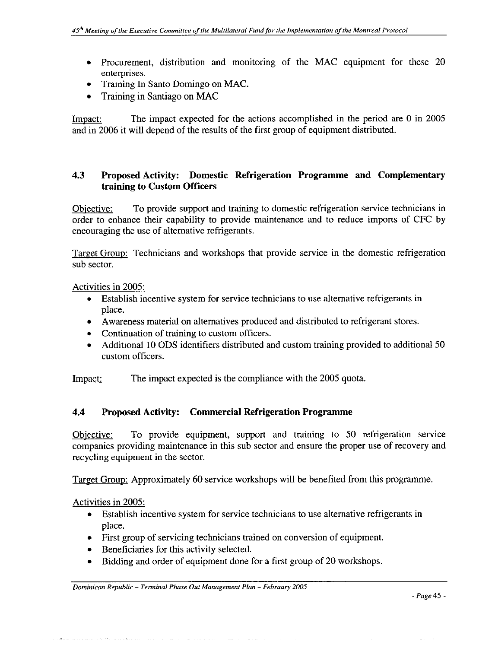- Procurement, distribution and monitoring of the MAC equipment for these 20 enterprises.
- Training In Santo Domingo on MAC.
- Training in Santiago on MAC

Impact: The impact expected for the actions accomplished in the period are 0 in 2005 and in 2006 it will depend of the results of the first group of equipment distributed.

#### $4.3$ Proposed Activity: Domestic Refrigeration Programme and Complementary training to Custom Officers

To provide support and training to domestic refrigeration service technicians in Objective: order to enhance their capability to provide maintenance and to reduce imports of CFC by encouraging the use of alternative refrigerants.

Target Group: Technicians and workshops that provide service in the domestic refrigeration sub sector.

Activities in 2005:

- Establish incentive system for service technicians to use alternative refrigerants in place.
- Awareness material on alternatives produced and distributed to refrigerant stores.  $\bullet$
- Continuation of training to custom officers.
- Additional 10 ODS identifiers distributed and custom training provided to additional 50  $\bullet$ custom officers.

Impact: The impact expected is the compliance with the 2005 quota.

#### 4.4 Proposed Activity: Commercial Refrigeration Programme

To provide equipment, support and training to 50 refrigeration service Objective: companies providing maintenance in this sub sector and ensure the proper use of recovery and recycling equipment in the sector.

Target Group: Approximately 60 service workshops will be benefited from this programme.

Activities in 2005:

- Establish incentive system for service technicians to use alternative refrigerants in place.
- First group of servicing technicians trained on conversion of equipment.
- Beneficiaries for this activity selected.

and the state of the state of the

• Bidding and order of equipment done for a first group of 20 workshops.

and a state of the state.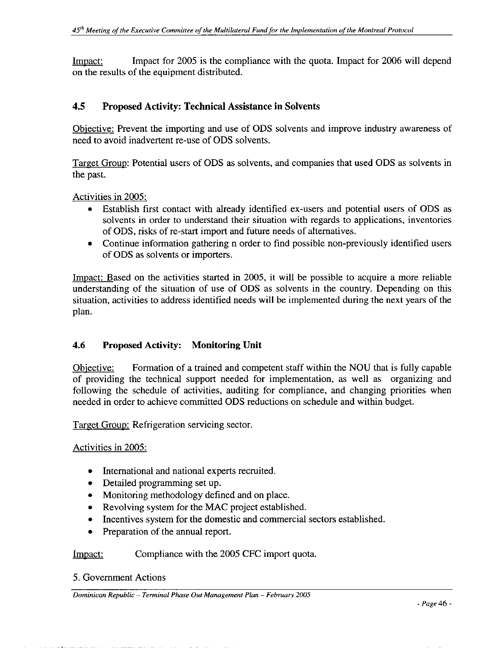Impact for 2005 is the compliance with the quota. Impact for 2006 will depend Impact: on the results of the equipment distributed.

#### $4.5$ **Proposed Activity: Technical Assistance in Solvents**

Objective: Prevent the importing and use of ODS solvents and improve industry awareness of need to avoid inadvertent re-use of ODS solvents.

Target Group: Potential users of ODS as solvents, and companies that used ODS as solvents in the past.

Activities in 2005:

- Establish first contact with already identified ex-users and potential users of ODS as solvents in order to understand their situation with regards to applications, inventories of ODS, risks of re-start import and future needs of alternatives.
- Continue information gathering n order to find possible non-previously identified users of ODS as solvents or importers.

Impact: Based on the activities started in 2005, it will be possible to acquire a more reliable understanding of the situation of use of ODS as solvents in the country. Depending on this situation, activities to address identified needs will be implemented during the next years of the plan.

#### 4.6 **Proposed Activity: Monitoring Unit**

Formation of a trained and competent staff within the NOU that is fully capable Objective: of providing the technical support needed for implementation, as well as organizing and following the schedule of activities, auditing for compliance, and changing priorities when needed in order to achieve committed ODS reductions on schedule and within budget.

Target Group: Refrigeration servicing sector.

## Activities in 2005:

- International and national experts recruited.
- Detailed programming set up.
- Monitoring methodology defined and on place.
- Revolving system for the MAC project established.
- Incentives system for the domestic and commercial sectors established.
- Preparation of the annual report.

Impact: Compliance with the 2005 CFC import quota.

5. Government Actions